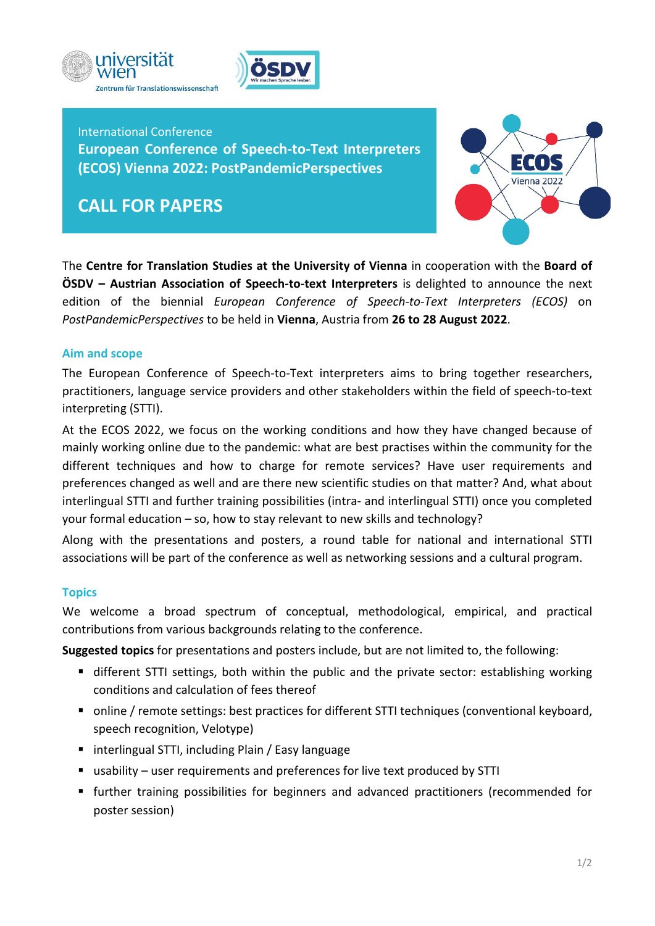



International Conference **European Conference of Speech-to-Text Interpreters (ECOS) Vienna 2022: PostPandemicPerspectives**

# **CALL FOR PAPERS**



The **Centre for Translation Studies at the University of Vienna** in cooperation with the **Board of ÖSDV – Austrian Association of Speech-to-text Interpreters** is delighted to announce the next edition of the biennial *European Conference of Speech-to-Text Interpreters (ECOS)* on *PostPandemicPerspectives* to be held in **Vienna**, Austria from **26 to 28 August 2022**.

# **Aim and scope**

The European Conference of Speech-to-Text interpreters aims to bring together researchers, practitioners, language service providers and other stakeholders within the field of speech-to-text interpreting (STTI).

At the ECOS 2022, we focus on the working conditions and how they have changed because of mainly working online due to the pandemic: what are best practises within the community for the different techniques and how to charge for remote services? Have user requirements and preferences changed as well and are there new scientific studies on that matter? And, what about interlingual STTI and further training possibilities (intra- and interlingual STTI) once you completed your formal education – so, how to stay relevant to new skills and technology?

Along with the presentations and posters, a round table for national and international STTI associations will be part of the conference as well as networking sessions and a cultural program.

# **Topics**

We welcome a broad spectrum of conceptual, methodological, empirical, and practical contributions from various backgrounds relating to the conference.

**Suggested topics** for presentations and posters include, but are not limited to, the following:

- **different STTI settings, both within the public and the private sector: establishing working** conditions and calculation of fees thereof
- online / remote settings: best practices for different STTI techniques (conventional keyboard, speech recognition, Velotype)
- **E** interlingual STTI, including Plain / Easy language
- usability user requirements and preferences for live text produced by STTI
- further training possibilities for beginners and advanced practitioners (recommended for poster session)